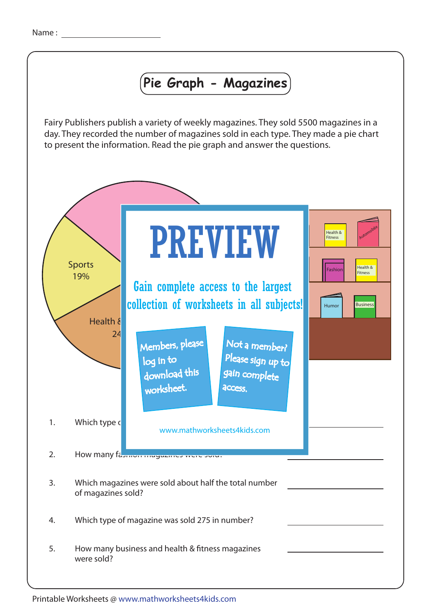